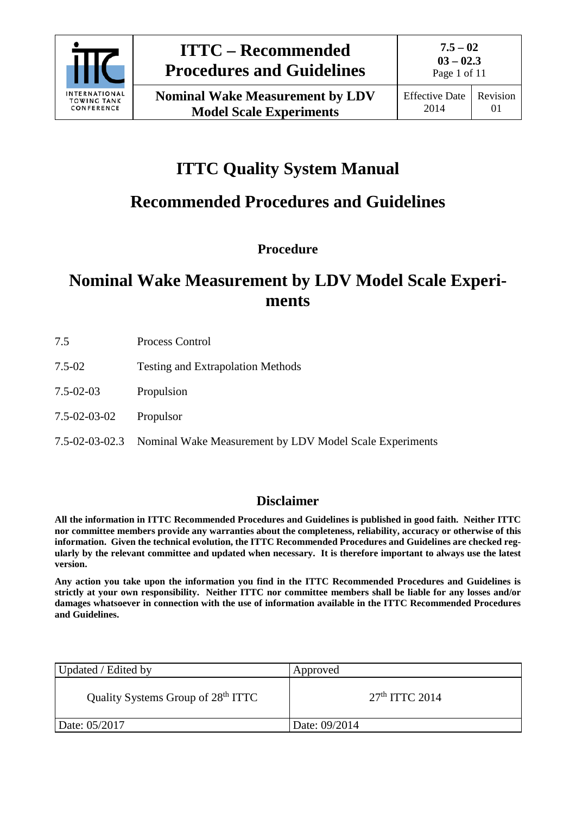

# **ITTC Quality System Manual**

# **Recommended Procedures and Guidelines**

**Procedure**

# **Nominal Wake Measurement by LDV Model Scale Experiments**

- 7.5 Process Control
- 7.5-02 Testing and Extrapolation Methods
- 7.5-02-03 Propulsion
- 7.5-02-03-02 Propulsor
- 7.5-02-03-02.3 Nominal Wake Measurement by LDV Model Scale Experiments

# **Disclaimer**

**All the information in ITTC Recommended Procedures and Guidelines is published in good faith. Neither ITTC nor committee members provide any warranties about the completeness, reliability, accuracy or otherwise of this information. Given the technical evolution, the ITTC Recommended Procedures and Guidelines are checked regularly by the relevant committee and updated when necessary. It is therefore important to always use the latest version.**

**Any action you take upon the information you find in the ITTC Recommended Procedures and Guidelines is strictly at your own responsibility. Neither ITTC nor committee members shall be liable for any losses and/or damages whatsoever in connection with the use of information available in the ITTC Recommended Procedures and Guidelines.**

| Updated / Edited by                            | Approved         |
|------------------------------------------------|------------------|
| Quality Systems Group of 28 <sup>th</sup> ITTC | $27th$ ITTC 2014 |
| Date: 05/2017                                  | Date: 09/2014    |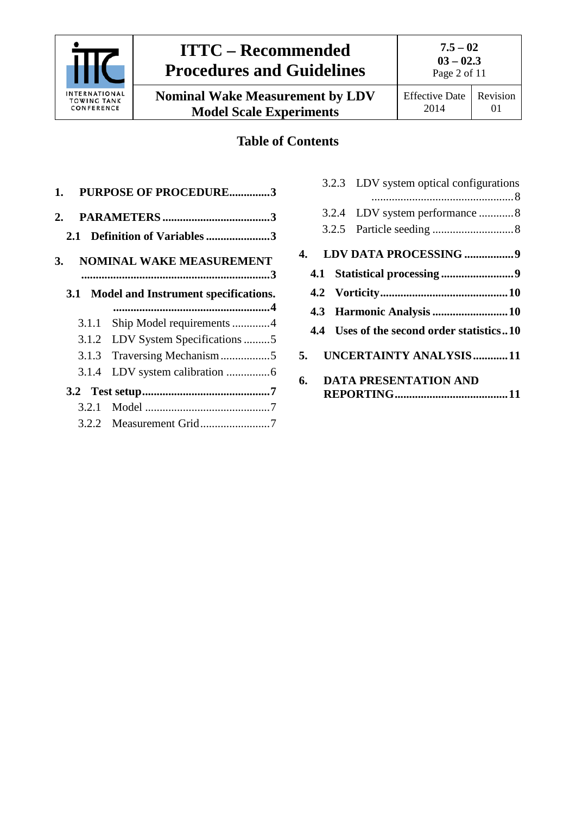

**7.5 – 02 03 – 02.3** Page 2 of 11

**Nominal Wake Measurement by LDV Model Scale Experiments**

# **Table of Contents**

| 1.         | <b>PURPOSE OF PROCEDURE3</b>         |
|------------|--------------------------------------|
| 2.         |                                      |
| 2.1        | Definition of Variables3             |
| 3.         | <b>NOMINAL WAKE MEASUREMENT</b>      |
| <b>3.1</b> | Model and Instrument specifications. |
| 3.1.1      | Ship Model requirements 4            |
| 3.1.2      | LDV System Specifications 5          |
| 3.1.3      |                                      |
| 3.1.4      | LDV system calibration 6             |
|            |                                      |
| 3.2.1      |                                      |
|            |                                      |

|    | 3.2.3 LDV system optical configurations   |
|----|-------------------------------------------|
|    |                                           |
|    |                                           |
|    |                                           |
|    | 4. LDV DATA PROCESSING 9                  |
|    |                                           |
|    |                                           |
|    | 4.3 Harmonic Analysis  10                 |
|    | 4.4 Uses of the second order statistics10 |
| 5. | UNCERTAINTY ANALYSIS11                    |
|    | 6. DATA PRESENTATION AND                  |
|    |                                           |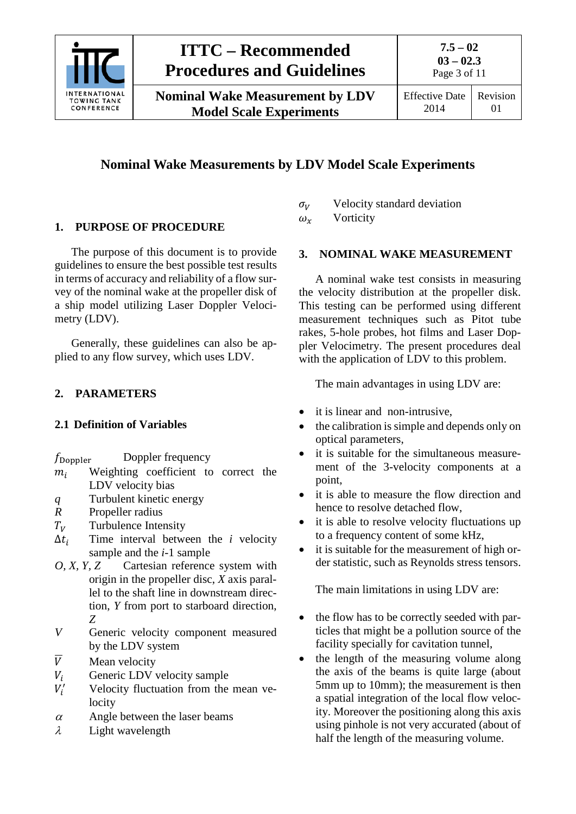

Page 3 of 11

01

**Nominal Wake Measurement by LDV Model Scale Experiments**

# **Nominal Wake Measurements by LDV Model Scale Experiments**

# <span id="page-2-0"></span>**1. PURPOSE OF PROCEDURE**

The purpose of this document is to provide guidelines to ensure the best possible test results in terms of accuracy and reliability of a flow survey of the nominal wake at the propeller disk of a ship model utilizing Laser Doppler Velocimetry (LDV).

Generally, these guidelines can also be applied to any flow survey, which uses LDV.

# <span id="page-2-2"></span><span id="page-2-1"></span>**2. PARAMETERS**

### **2.1 Definition of Variables**

- $m_i$  Weighting coefficient to correct the LDV velocity bias
- *q* Turbulent kinetic energy
- *R* Propeller radius
- $T_V$  Turbulence Intensity<br> $\Delta t_i$  Time interval between
- Time interval between the *i* velocity sample and the *i-*1 sample
- *O, X, Y, Z* Cartesian reference system with origin in the propeller disc, *X* axis parallel to the shaft line in downstream direction, *Y* from port to starboard direction, *Z*
- *V* Generic velocity component measured by the LDV system
- 
- $\overline{V}$  Mean velocity<br>  $V_i$  Generic LDV Generic LDV velocity sample
- $V_i'$ Velocity fluctuation from the mean velocity
- $\alpha$  Angle between the laser beams
- $\lambda$  Light wavelength

 $\sigma_V$  Velocity standard deviation<br>  $\omega_x$  Vorticity

<span id="page-2-3"></span>Vorticity

#### **3. NOMINAL WAKE MEASUREMENT**

A nominal wake test consists in measuring the velocity distribution at the propeller disk. This testing can be performed using different measurement techniques such as Pitot tube rakes, 5-hole probes, hot films and Laser Doppler Velocimetry. The present procedures deal with the application of LDV to this problem.

The main advantages in using LDV are:

- it is linear and non-intrusive,
- the calibration is simple and depends only on optical parameters,
- it is suitable for the simultaneous measurement of the 3-velocity components at a point,
- it is able to measure the flow direction and hence to resolve detached flow,
- it is able to resolve velocity fluctuations up to a frequency content of some kHz,
- it is suitable for the measurement of high order statistic, such as Reynolds stress tensors.

The main limitations in using LDV are:

- the flow has to be correctly seeded with particles that might be a pollution source of the facility specially for cavitation tunnel,
- the length of the measuring volume along the axis of the beams is quite large (about 5mm up to 10mm); the measurement is then a spatial integration of the local flow velocity. Moreover the positioning along this axis using pinhole is not very accurated (about of half the length of the measuring volume.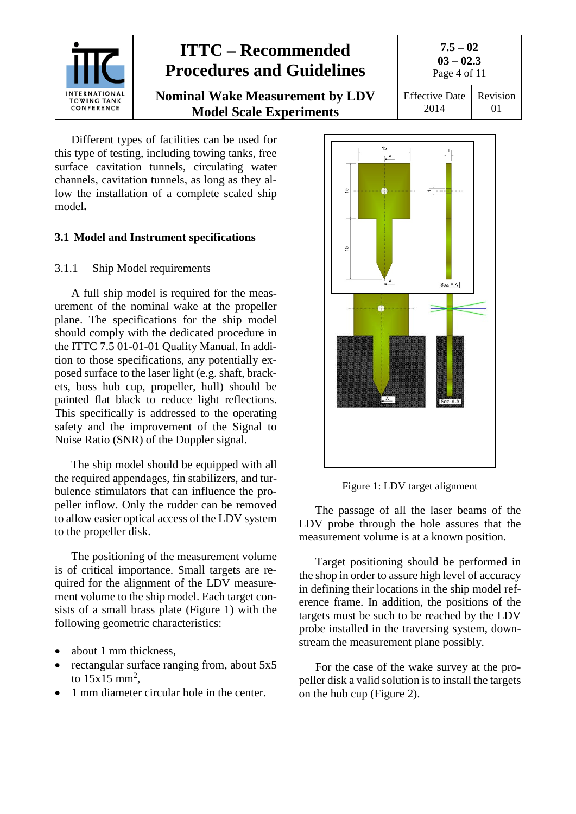

Different types of facilities can be used for this type of testing, including towing tanks, free surface cavitation tunnels, circulating water channels, cavitation tunnels, as long as they allow the installation of a complete scaled ship model**.**

### <span id="page-3-1"></span><span id="page-3-0"></span>**3.1 Model and Instrument specifications**

### 3.1.1 Ship Model requirements

A full ship model is required for the measurement of the nominal wake at the propeller plane. The specifications for the ship model should comply with the dedicated procedure in the ITTC 7.5 01-01-01 Quality Manual. In addition to those specifications, any potentially exposed surface to the laser light (e.g. shaft, brackets, boss hub cup, propeller, hull) should be painted flat black to reduce light reflections. This specifically is addressed to the operating safety and the improvement of the Signal to Noise Ratio (SNR) of the Doppler signal.

The ship model should be equipped with all the required appendages, fin stabilizers, and turbulence stimulators that can influence the propeller inflow. Only the rudder can be removed to allow easier optical access of the LDV system to the propeller disk.

The positioning of the measurement volume is of critical importance. Small targets are required for the alignment of the LDV measurement volume to the ship model. Each target consists of a small brass plate (Figure 1) with the following geometric characteristics:

- about 1 mm thickness,
- rectangular surface ranging from, about 5x5 to  $15x15 \text{ mm}^2$ ,
- 1 mm diameter circular hole in the center.



Figure 1: LDV target alignment

The passage of all the laser beams of the LDV probe through the hole assures that the measurement volume is at a known position.

Target positioning should be performed in the shop in order to assure high level of accuracy in defining their locations in the ship model reference frame. In addition, the positions of the targets must be such to be reached by the LDV probe installed in the traversing system, downstream the measurement plane possibly.

For the case of the wake survey at the propeller disk a valid solution is to install the targets on the hub cup (Figure 2).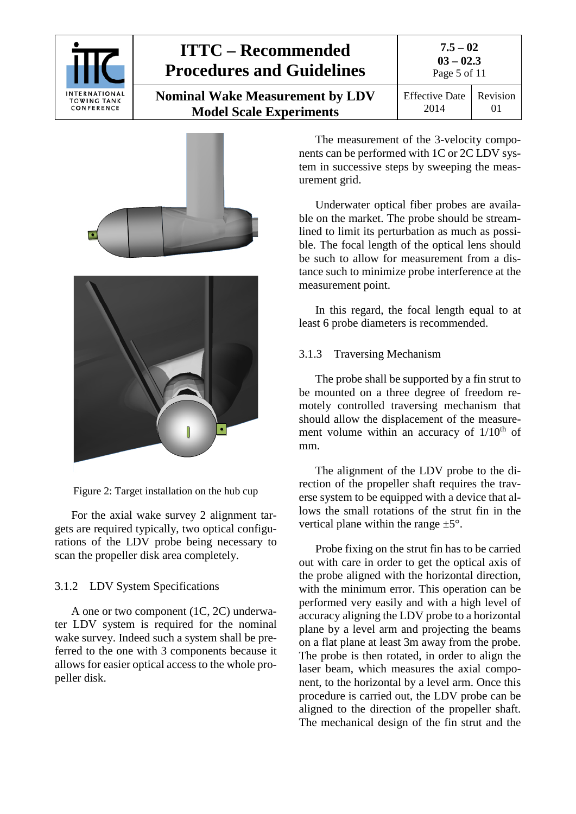

| $7.5 - 02$   |
|--------------|
| $03 - 02.3$  |
| Page 5 of 11 |

Revision 01

| <b>Nominal Wake Measurement by LDV</b> | <b>Effective Date</b> |
|----------------------------------------|-----------------------|
| <b>Model Scale Experiments</b>         | 2014                  |





Figure 2: Target installation on the hub cup

For the axial wake survey 2 alignment targets are required typically, two optical configurations of the LDV probe being necessary to scan the propeller disk area completely.

# <span id="page-4-0"></span>3.1.2 LDV System Specifications

A one or two component (1C, 2C) underwater LDV system is required for the nominal wake survey. Indeed such a system shall be preferred to the one with 3 components because it allows for easier optical access to the whole propeller disk.

The measurement of the 3-velocity components can be performed with 1C or 2C LDV system in successive steps by sweeping the measurement grid.

Underwater optical fiber probes are available on the market. The probe should be streamlined to limit its perturbation as much as possible. The focal length of the optical lens should be such to allow for measurement from a distance such to minimize probe interference at the measurement point.

In this regard, the focal length equal to at least 6 probe diameters is recommended.

# <span id="page-4-1"></span>3.1.3 Traversing Mechanism

The probe shall be supported by a fin strut to be mounted on a three degree of freedom remotely controlled traversing mechanism that should allow the displacement of the measurement volume within an accuracy of  $1/10<sup>th</sup>$  of mm.

The alignment of the LDV probe to the direction of the propeller shaft requires the traverse system to be equipped with a device that allows the small rotations of the strut fin in the vertical plane within the range  $\pm 5^{\circ}$ .

Probe fixing on the strut fin has to be carried out with care in order to get the optical axis of the probe aligned with the horizontal direction, with the minimum error. This operation can be performed very easily and with a high level of accuracy aligning the LDV probe to a horizontal plane by a level arm and projecting the beams on a flat plane at least 3m away from the probe. The probe is then rotated, in order to align the laser beam, which measures the axial component, to the horizontal by a level arm. Once this procedure is carried out, the LDV probe can be aligned to the direction of the propeller shaft. The mechanical design of the fin strut and the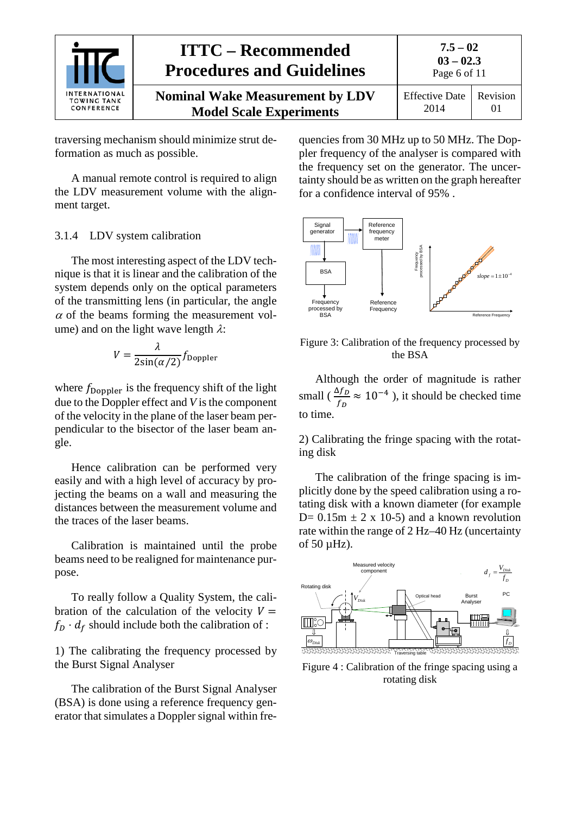

traversing mechanism should minimize strut deformation as much as possible.

A manual remote control is required to align the LDV measurement volume with the alignment target.

#### <span id="page-5-0"></span>3.1.4 LDV system calibration

The most interesting aspect of the LDV technique is that it is linear and the calibration of the system depends only on the optical parameters of the transmitting lens (in particular, the angle  $\alpha$  of the beams forming the measurement volume) and on the light wave length  $\lambda$ :

$$
V = \frac{\lambda}{2\sin(\alpha/2)} f_{\text{Doppler}}
$$

where  $f_{\text{Doppler}}$  is the frequency shift of the light due to the Doppler effect and *V* is the component of the velocity in the plane of the laser beam perpendicular to the bisector of the laser beam angle.

Hence calibration can be performed very easily and with a high level of accuracy by projecting the beams on a wall and measuring the distances between the measurement volume and the traces of the laser beams.

Calibration is maintained until the probe beams need to be realigned for maintenance purpose.

To really follow a Quality System, the calibration of the calculation of the velocity  $V =$  $f_D \cdot d_f$  should include both the calibration of :

1) The calibrating the frequency processed by the Burst Signal Analyser

The calibration of the Burst Signal Analyser (BSA) is done using a reference frequency generator that simulates a Doppler signal within frequencies from 30 MHz up to 50 MHz. The Doppler frequency of the analyser is compared with the frequency set on the generator. The uncertainty should be as written on the graph hereafter for a confidence interval of 95% .



Figure 3: Calibration of the frequency processed by the BSA

Although the order of magnitude is rather small ( $\frac{\Delta f_D}{f}$  $\frac{37b}{f_D} \approx 10^{-4}$ ), it should be checked time to time.

2) Calibrating the fringe spacing with the rotating disk

The calibration of the fringe spacing is implicitly done by the speed calibration using a rotating disk with a known diameter (for example D=  $0.15m \pm 2 \times 10^{-5}$  and a known revolution rate within the range of 2 Hz–40 Hz (uncertainty of 50 µHz).



Figure 4 : Calibration of the fringe spacing using a rotating disk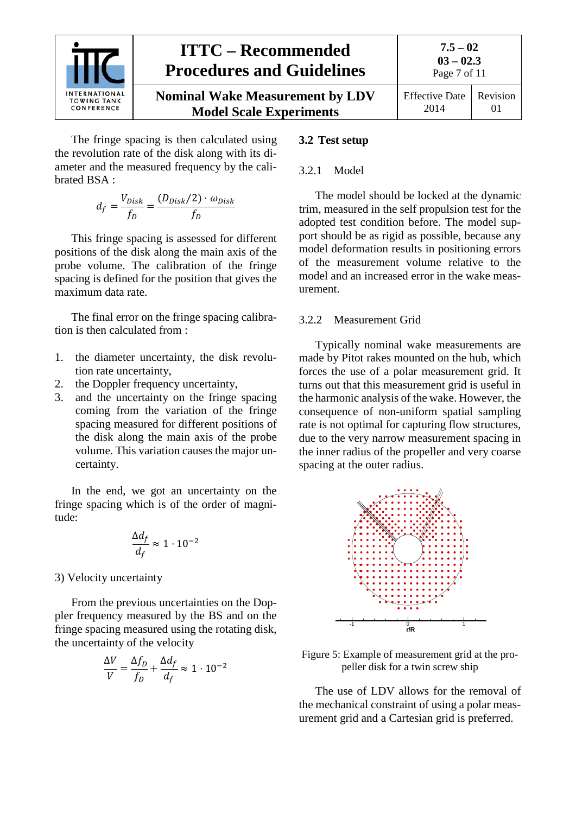

The fringe spacing is then calculated using the revolution rate of the disk along with its diameter and the measured frequency by the calibrated BSA :

$$
d_f = \frac{V_{Disk}}{f_D} = \frac{(D_{Disk}/2) \cdot \omega_{Disk}}{f_D}
$$

This fringe spacing is assessed for different positions of the disk along the main axis of the probe volume. The calibration of the fringe spacing is defined for the position that gives the maximum data rate.

The final error on the fringe spacing calibration is then calculated from :

- 1. the diameter uncertainty, the disk revolution rate uncertainty,
- 2. the Doppler frequency uncertainty,
- 3. and the uncertainty on the fringe spacing coming from the variation of the fringe spacing measured for different positions of the disk along the main axis of the probe volume. This variation causes the major uncertainty.

In the end, we got an uncertainty on the fringe spacing which is of the order of magnitude:

$$
\frac{\Delta d_f}{d_f} \approx 1 \cdot 10^{-2}
$$

3) Velocity uncertainty

From the previous uncertainties on the Doppler frequency measured by the BS and on the fringe spacing measured using the rotating disk, the uncertainty of the velocity

$$
\frac{\Delta V}{V} = \frac{\Delta f_D}{f_D} + \frac{\Delta d_f}{d_f} \approx 1 \cdot 10^{-2}
$$

## <span id="page-6-1"></span><span id="page-6-0"></span>**3.2 Test setup**

# 3.2.1 Model

The model should be locked at the dynamic trim, measured in the self propulsion test for the adopted test condition before. The model support should be as rigid as possible, because any model deformation results in positioning errors of the measurement volume relative to the model and an increased error in the wake measurement.

### <span id="page-6-2"></span>3.2.2 Measurement Grid

Typically nominal wake measurements are made by Pitot rakes mounted on the hub, which forces the use of a polar measurement grid. It turns out that this measurement grid is useful in the harmonic analysis of the wake. However, the consequence of non-uniform spatial sampling rate is not optimal for capturing flow structures, due to the very narrow measurement spacing in the inner radius of the propeller and very coarse spacing at the outer radius.



Figure 5: Example of measurement grid at the propeller disk for a twin screw ship

The use of LDV allows for the removal of the mechanical constraint of using a polar measurement grid and a Cartesian grid is preferred.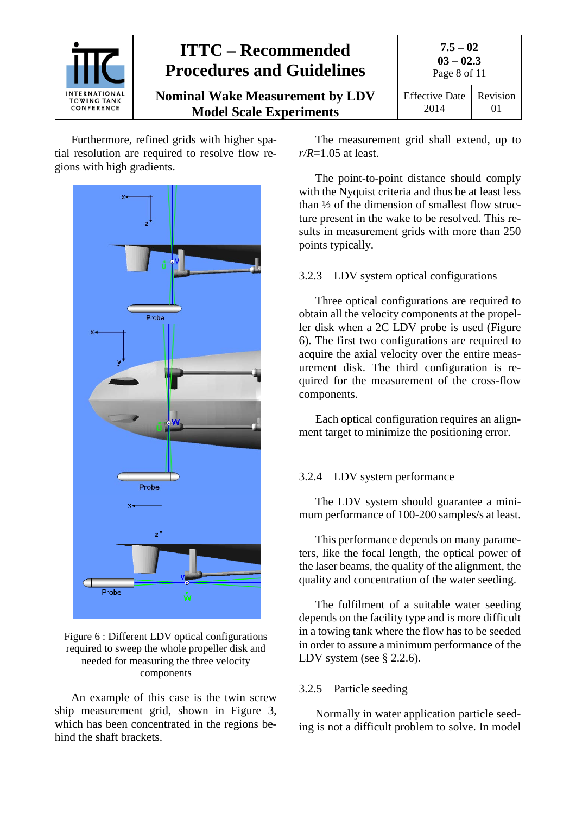|                                                          | <b>ITTC – Recommended</b><br><b>Procedures and Guidelines</b>            | $7.5 - 02$<br>$03 - 02.3$<br>Page 8 of 11 |          |
|----------------------------------------------------------|--------------------------------------------------------------------------|-------------------------------------------|----------|
| <b>INTERNATIONAL</b><br><b>TOWING TANK</b><br>CONFERENCE | <b>Nominal Wake Measurement by LDV</b><br><b>Model Scale Experiments</b> | <b>Effective Date</b><br>2014             | Revision |

Furthermore, refined grids with higher spatial resolution are required to resolve flow regions with high gradients.



#### Figure 6 : Different LDV optical configurations required to sweep the whole propeller disk and needed for measuring the three velocity components

An example of this case is the twin screw ship measurement grid, shown in Figure 3, which has been concentrated in the regions behind the shaft brackets.

The measurement grid shall extend, up to *r/R*=1.05 at least.

The point-to-point distance should comply with the Nyquist criteria and thus be at least less than ½ of the dimension of smallest flow structure present in the wake to be resolved. This results in measurement grids with more than 250 points typically.

## <span id="page-7-0"></span>3.2.3 LDV system optical configurations

Three optical configurations are required to obtain all the velocity components at the propeller disk when a 2C LDV probe is used (Figure 6). The first two configurations are required to acquire the axial velocity over the entire measurement disk. The third configuration is required for the measurement of the cross-flow components.

Each optical configuration requires an alignment target to minimize the positioning error.

# <span id="page-7-1"></span>3.2.4 LDV system performance

The LDV system should guarantee a minimum performance of 100-200 samples/s at least.

This performance depends on many parameters, like the focal length, the optical power of the laser beams, the quality of the alignment, the quality and concentration of the water seeding.

The fulfilment of a suitable water seeding depends on the facility type and is more difficult in a towing tank where the flow has to be seeded in order to assure a minimum performance of the LDV system (see § 2.2.6).

### <span id="page-7-2"></span>3.2.5 Particle seeding

Normally in water application particle seeding is not a difficult problem to solve. In model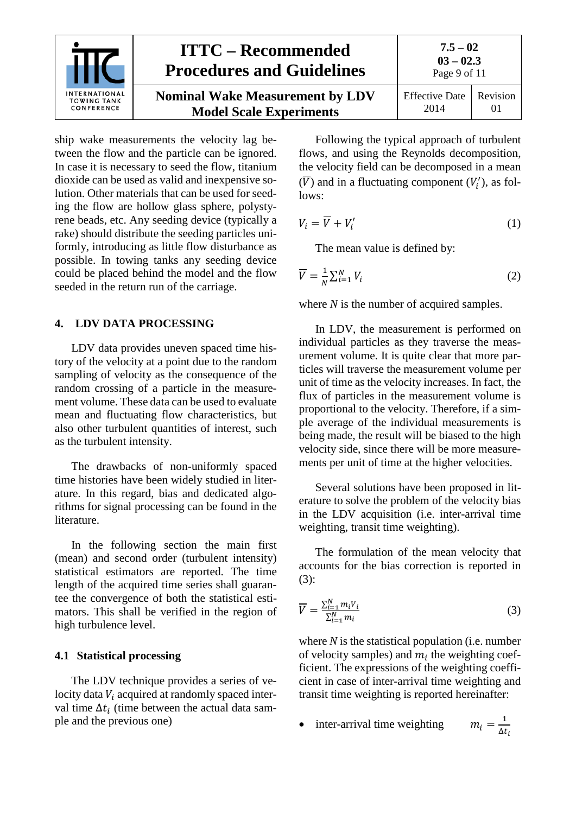

ship wake measurements the velocity lag between the flow and the particle can be ignored. In case it is necessary to seed the flow, titanium dioxide can be used as valid and inexpensive solution. Other materials that can be used for seeding the flow are hollow glass sphere, polystyrene beads, etc. Any seeding device (typically a rake) should distribute the seeding particles uniformly, introducing as little flow disturbance as possible. In towing tanks any seeding device could be placed behind the model and the flow seeded in the return run of the carriage.

## <span id="page-8-0"></span>**4. LDV DATA PROCESSING**

LDV data provides uneven spaced time history of the velocity at a point due to the random sampling of velocity as the consequence of the random crossing of a particle in the measurement volume. These data can be used to evaluate mean and fluctuating flow characteristics, but also other turbulent quantities of interest, such as the turbulent intensity.

The drawbacks of non-uniformly spaced time histories have been widely studied in literature. In this regard, bias and dedicated algorithms for signal processing can be found in the literature.

In the following section the main first (mean) and second order (turbulent intensity) statistical estimators are reported. The time length of the acquired time series shall guarantee the convergence of both the statistical estimators. This shall be verified in the region of high turbulence level.

### <span id="page-8-1"></span>**4.1 Statistical processing**

The LDV technique provides a series of velocity data  $V_i$  acquired at randomly spaced interval time  $\Delta t_i$  (time between the actual data sample and the previous one)

Following the typical approach of turbulent flows, and using the Reynolds decomposition, the velocity field can be decomposed in a mean (V) and in a fluctuating component  $(V'_i)$ , as follows:

$$
V_i = \overline{V} + V'_i \tag{1}
$$

The mean value is defined by:

$$
\overline{V} = \frac{1}{N} \sum_{i=1}^{N} V_i
$$
 (2)

where *N* is the number of acquired samples.

In LDV, the measurement is performed on individual particles as they traverse the measurement volume. It is quite clear that more particles will traverse the measurement volume per unit of time as the velocity increases. In fact, the flux of particles in the measurement volume is proportional to the velocity. Therefore, if a simple average of the individual measurements is being made, the result will be biased to the high velocity side, since there will be more measurements per unit of time at the higher velocities.

Several solutions have been proposed in literature to solve the problem of the velocity bias in the LDV acquisition (i.e. inter-arrival time weighting, transit time weighting).

The formulation of the mean velocity that accounts for the bias correction is reported in (3):

$$
\overline{V} = \frac{\sum_{i=1}^{N} m_i V_i}{\sum_{i=1}^{N} m_i}
$$
(3)

where *N* is the statistical population (i.e. number of velocity samples) and  $m_i$  the weighting coefficient. The expressions of the weighting coefficient in case of inter-arrival time weighting and transit time weighting is reported hereinafter:

 $\bullet$  inter-arrival time weighting  $m_i = \frac{1}{\Delta t_i}$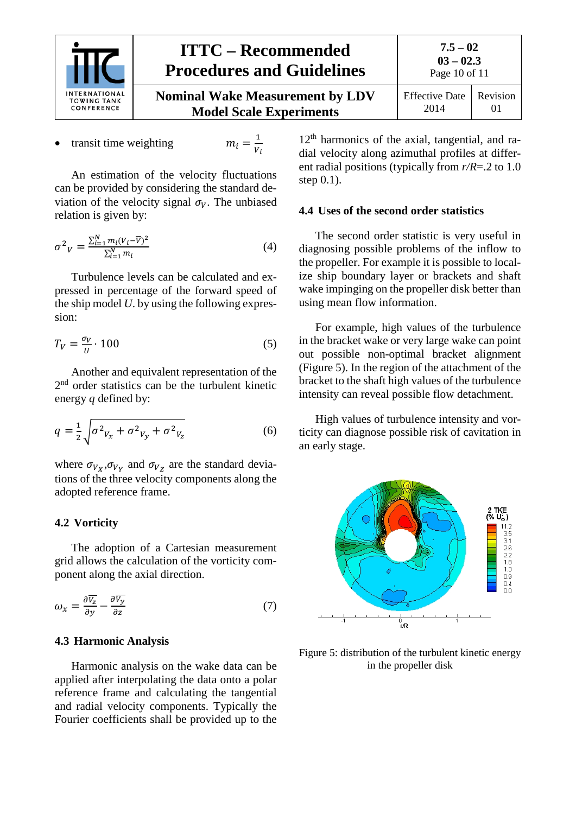

$$
\begin{array}{c} 7.5 - 02 \\ 03 - 02.3 \\ \text{Page } 10 \text{ of } 11 \end{array}
$$

| <b>Nominal Wake Measurement by LDV</b> | Effective Date   Revision |  |
|----------------------------------------|---------------------------|--|
| <b>Model Scale Experiments</b>         | -2014                     |  |

transit time weighting  $\eta$ 

$$
u_i = \frac{1}{V_i}
$$

An estimation of the velocity fluctuations can be provided by considering the standard deviation of the velocity signal  $\sigma_V$ . The unbiased relation is given by:

$$
\sigma^2 V = \frac{\sum_{i=1}^{N} m_i (V_i - \overline{V})^2}{\sum_{i=1}^{N} m_i}
$$
(4)

Turbulence levels can be calculated and expressed in percentage of the forward speed of the ship model *U*. by using the following expression:

$$
T_V = \frac{\sigma_V}{U} \cdot 100\tag{5}
$$

Another and equivalent representation of the 2<sup>nd</sup> order statistics can be the turbulent kinetic energy *q* defined by:

$$
q = \frac{1}{2} \sqrt{\sigma^2 v_x + \sigma^2 v_y + \sigma^2 v_z}
$$
 (6)

where  $\sigma_{V_X}, \sigma_{V_Y}$  and  $\sigma_{V_Z}$  are the standard deviations of the three velocity components along the adopted reference frame.

#### <span id="page-9-0"></span>**4.2 Vorticity**

The adoption of a Cartesian measurement grid allows the calculation of the vorticity component along the axial direction.

$$
\omega_x = \frac{\partial \overline{v_z}}{\partial y} - \frac{\partial \overline{v_y}}{\partial z} \tag{7}
$$

#### <span id="page-9-1"></span>**4.3 Harmonic Analysis**

Harmonic analysis on the wake data can be applied after interpolating the data onto a polar reference frame and calculating the tangential and radial velocity components. Typically the Fourier coefficients shall be provided up to the

 $12<sup>th</sup>$  harmonics of the axial, tangential, and radial velocity along azimuthal profiles at different radial positions (typically from *r/R*=.2 to 1.0 step 0.1).

#### <span id="page-9-2"></span>**4.4 Uses of the second order statistics**

The second order statistic is very useful in diagnosing possible problems of the inflow to the propeller. For example it is possible to localize ship boundary layer or brackets and shaft wake impinging on the propeller disk better than using mean flow information.

For example, high values of the turbulence in the bracket wake or very large wake can point out possible non-optimal bracket alignment (Figure 5). In the region of the attachment of the bracket to the shaft high values of the turbulence intensity can reveal possible flow detachment.

High values of turbulence intensity and vorticity can diagnose possible risk of cavitation in an early stage.



Figure 5: distribution of the turbulent kinetic energy in the propeller disk